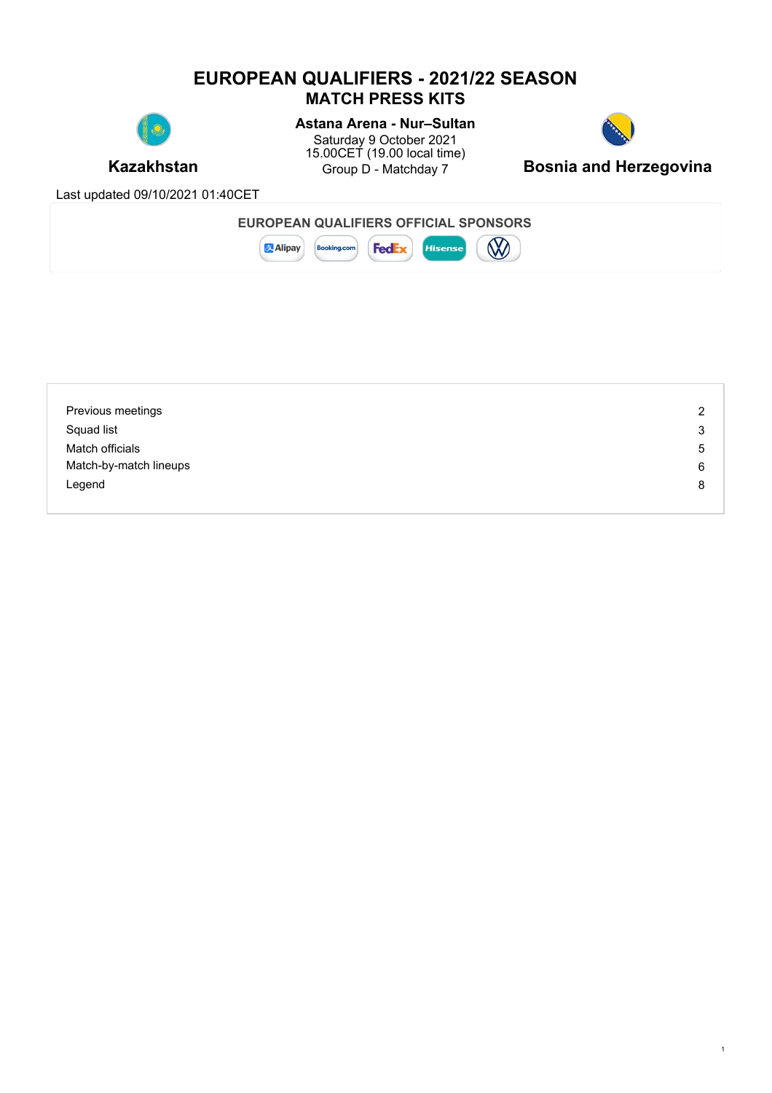# **EUROPEAN QUALIFIERS - 2021/22 SEASON MATCH PRESS KITS**



# **Astana Arena - Nur–Sultan**

**Kazakhstan** Group D - Matchday 7 **Bosnia and Herzegovina** Saturday 9 October 2021 15.00CET (19.00 local time)



1

Last updated 09/10/2021 01:40CET

| EUROPEAN QUALIFIERS OFFICIAL SPONSORS                        |                     |  |
|--------------------------------------------------------------|---------------------|--|
| 누구 정말 사<br><b>Alipay</b><br><b>Feo</b><br><b>Booking.com</b> | <b>B</b><br>lisense |  |

| Previous meetings      | 2 |
|------------------------|---|
| Squad list             | 3 |
| Match officials        | 5 |
| Match-by-match lineups | 6 |
| Legend                 | 8 |
|                        |   |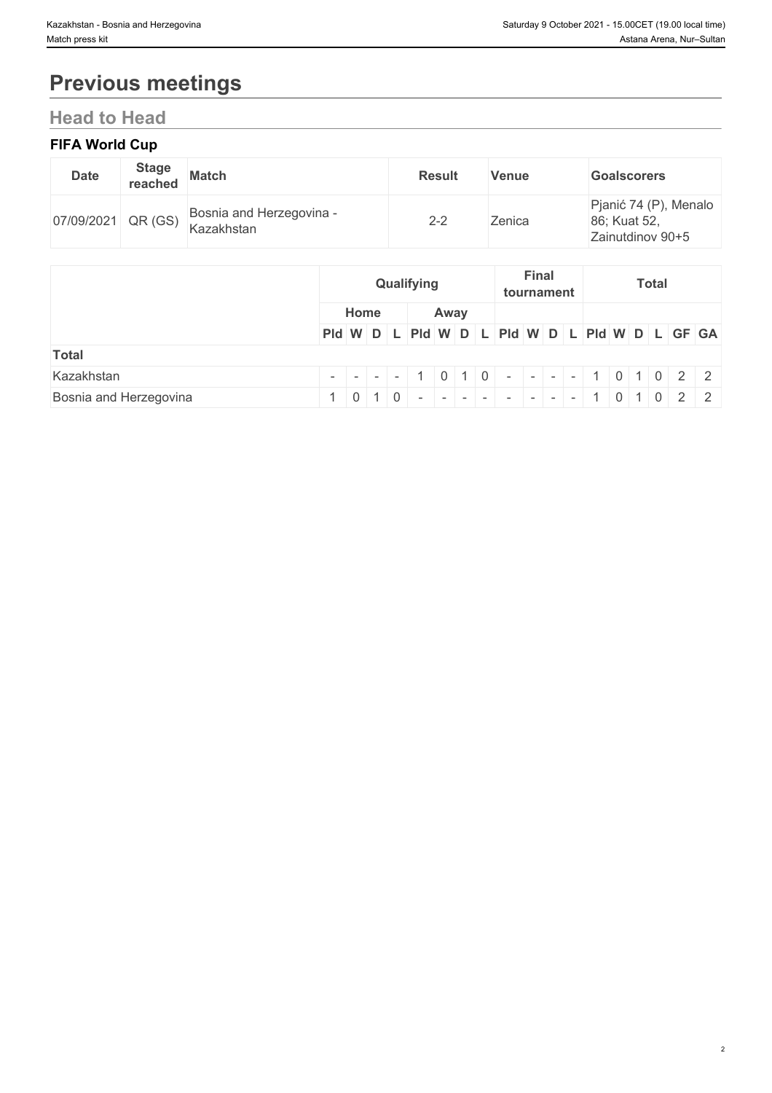# **Previous meetings**

# **Head to Head**

### **FIFA World Cup**

| <b>Date</b> | <b>Stage</b><br>reached              | <b>Match</b>                           | <b>Result</b> | <b>Venue</b> | <b>Goalscorers</b>                                        |
|-------------|--------------------------------------|----------------------------------------|---------------|--------------|-----------------------------------------------------------|
| 07/09/2021  | $\mathbb{P}^4$ QR (GS) $_{\text{L}}$ | Bosnia and Herzegovina -<br>Kazakhstan | $2 - 2$       | Zenica       | Pjanić 74 (P), Menalo<br>86; Kuat 52,<br>Zainutdinov 90+5 |

|                        | Qualifying |      | <b>Final</b><br><b>Total</b><br>tournament |                                                         |  |  |  |  |
|------------------------|------------|------|--------------------------------------------|---------------------------------------------------------|--|--|--|--|
|                        | Home       | Away |                                            |                                                         |  |  |  |  |
|                        |            |      |                                            | PId W D L PId W D L PId W D L PId W D L PId W D L GF GA |  |  |  |  |
| <b>Total</b>           |            |      |                                            |                                                         |  |  |  |  |
| Kazakhstan             |            |      |                                            | $     1$ 0 1 0 $     1$ 0 1 0 $2$ 2                     |  |  |  |  |
| Bosnia and Herzegovina |            |      |                                            | 1 0 1 0 - - - - - - - - - - - 1 0 1 0 2 2               |  |  |  |  |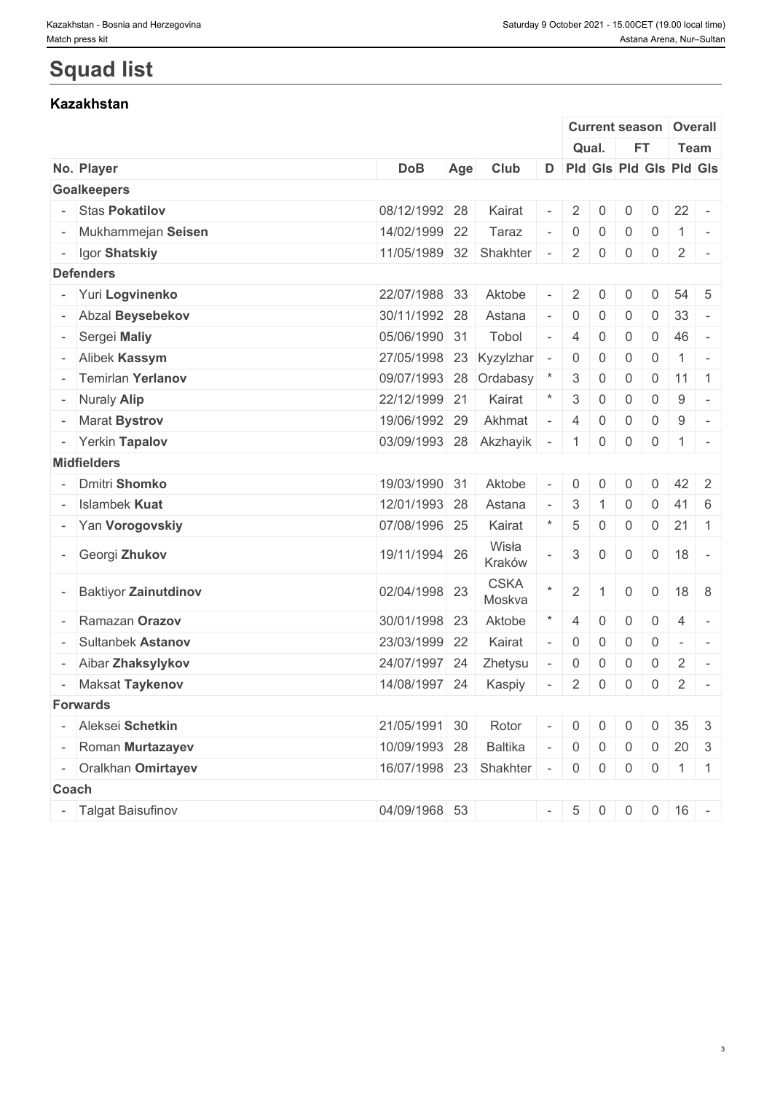|                          |                             |                          |     |                       |        |                 |                |                   |                | <b>Current season Overall</b> |                |
|--------------------------|-----------------------------|--------------------------|-----|-----------------------|--------|-----------------|----------------|-------------------|----------------|-------------------------------|----------------|
|                          |                             |                          |     |                       |        |                 | Qual.          | <b>FT</b>         |                | Team                          |                |
|                          | No. Player                  | <b>DoB</b>               | Age | Club                  | D      |                 |                |                   |                | Pid Gis Pid Gis Pid Gis       |                |
|                          | <b>Goalkeepers</b>          |                          |     |                       |        |                 |                |                   |                |                               |                |
|                          | <b>Stas Pokatilov</b>       | 08/12/1992 28            |     | Kairat                |        | $\overline{2}$  | $\mathbf{0}$   | $\mathbf 0$       | $\overline{0}$ | $22 -$                        |                |
|                          | Mukhammejan Seisen          | 14/02/1999 22            |     | Taraz                 |        | $\mathbf 0$     | $\overline{0}$ | $\mathbf 0$       | $\mathbf 0$    | $\mathbf{1}$                  | $\sim$         |
|                          | - Igor Shatskiy             | 11/05/1989 32 Shakhter   |     |                       | $\sim$ | $\overline{2}$  | $\overline{0}$ | $\overline{0}$    |                | $0 \mid 2 \mid -$             |                |
|                          | <b>Defenders</b>            |                          |     |                       |        |                 |                |                   |                |                               |                |
|                          | - Yuri Logvinenko           | 22/07/1988 33            |     | Aktobe                |        | $\overline{2}$  | $\mathbf{0}$   | $\mathbf{0}$      | $\Omega$       | $54 \quad 5$                  |                |
|                          | - Abzal Beysebekov          | 30/11/1992 28            |     | Astana                |        | $\overline{0}$  | $\overline{0}$ | 0                 | $\mathbf 0$    | 33                            |                |
|                          | Sergei Maliy                | 05/06/1990 31            |     | Tobol                 |        | $\overline{4}$  | $\mathbf 0$    | $\overline{0}$    | $\overline{0}$ | 46                            | $\sim$         |
|                          | - Alibek Kassym             | 27/05/1998 23 Kyzylzhar  |     |                       |        | $\overline{0}$  | $\overline{0}$ | $\overline{0}$    | $\overline{0}$ | -1                            | $\sim$         |
|                          | - Temirlan Yerlanov         | 09/07/1993 28 Ordabasy   |     |                       |        | $3\phantom{.0}$ | $\overline{0}$ | $\mathbf 0$       | $\overline{0}$ | $11$ 1                        |                |
|                          | - Nuraly Alip               | 22/12/1999 21            |     | Kairat                |        | 3               | $\mathsf{O}$   | $\overline{0}$    | $\overline{0}$ | 9                             | $\overline{a}$ |
|                          | - Marat Bystrov             | 19/06/1992 29            |     | Akhmat                | $\sim$ | $\overline{4}$  | $\overline{0}$ | $\overline{0}$    | $\overline{0}$ | 9                             | $\sim$         |
|                          | - Yerkin Tapalov            | 03/09/1993 28 Akzhayik   |     |                       | $\sim$ | 1               | $\overline{0}$ | $\overline{0}$    | $\overline{0}$ | $1$ -                         |                |
|                          | <b>Midfielders</b>          |                          |     |                       |        |                 |                |                   |                |                               |                |
|                          | <b>Dmitri Shomko</b>        | 19/03/1990 31            |     | Aktobe                |        | $\overline{0}$  | $\Omega$       | $\mathbf{0}$      | $\Omega$       | $42 \mid 2$                   |                |
|                          | Islambek Kuat               | 12/01/1993 28            |     | Astana                |        | 3               |                | $\mathsf{O}$      | $\overline{0}$ | $41 \quad 6$                  |                |
|                          | - Yan Vorogovskiy           | 07/08/1996 25            |     | Kairat                |        | 5               | 0              | $\overline{0}$    | $\overline{0}$ | $21 \quad 1$                  |                |
|                          | Georgi Zhukov               | 19/11/1994 26            |     | Wisła<br>Kraków       |        | 3 <sup>1</sup>  | $\mathbf{0}$   | $\overline{0}$    | $\overline{0}$ | 18                            | $\overline{a}$ |
|                          | <b>Baktiyor Zainutdinov</b> | 02/04/1998 23            |     | <b>CSKA</b><br>Moskva |        | 2 <sup>1</sup>  |                | $\overline{0}$    | $\overline{0}$ | 18 8                          |                |
|                          | Ramazan Orazov              | 30/01/1998 23            |     | Aktobe                |        | $\overline{4}$  | $\Omega$       | $\mathbf 0$       | $\overline{0}$ | $\overline{4}$                |                |
|                          | <b>Sultanbek Astanov</b>    | 23/03/1999 22            |     | Kairat                | $\sim$ | $\overline{0}$  | $\overline{0}$ | $\overline{0}$    | $\overline{0}$ | $\sim$ $\sim$                 |                |
|                          | - Aibar Zhaksylykov         | 24/07/1997 24            |     | Zhetysu               |        | $\overline{0}$  | $\overline{0}$ | $\overline{0}$    | $\overline{0}$ | $\overline{2}$                | $\sim$         |
|                          | Maksat Taykenov             | 14/08/1997 24            |     | Kaspiy                |        | $2 \mid$        | $\overline{0}$ | $\overline{0}$    | $\overline{0}$ | $\overline{2}$                | $\sim$ $-$     |
|                          | <b>Forwards</b>             |                          |     |                       |        |                 |                |                   |                |                               |                |
|                          | - Aleksei Schetkin          | 21/05/1991 30            |     | Rotor                 | $\sim$ | $\overline{0}$  | $\overline{0}$ | $\overline{0}$    | $\overline{0}$ | $35 \quad 3$                  |                |
|                          | Roman Murtazayev            | 10/09/1993 28            |     | Baltika               |        |                 | $-$ 0 0        | $\overline{0}$    | $\overline{0}$ | $20 \quad 3$                  |                |
|                          | Oralkhan Omirtayev          | 16/07/1998 23 Shakhter - |     |                       |        |                 |                | $0 \mid 0 \mid 0$ |                | $0 \mid 1 \mid 1$             |                |
|                          | Coach                       |                          |     |                       |        |                 |                |                   |                |                               |                |
| $\overline{\phantom{a}}$ | <b>Talgat Baisufinov</b>    | 04/09/1968 53            |     |                       |        |                 |                |                   |                | $-$ 5 0 0 0 16 -              |                |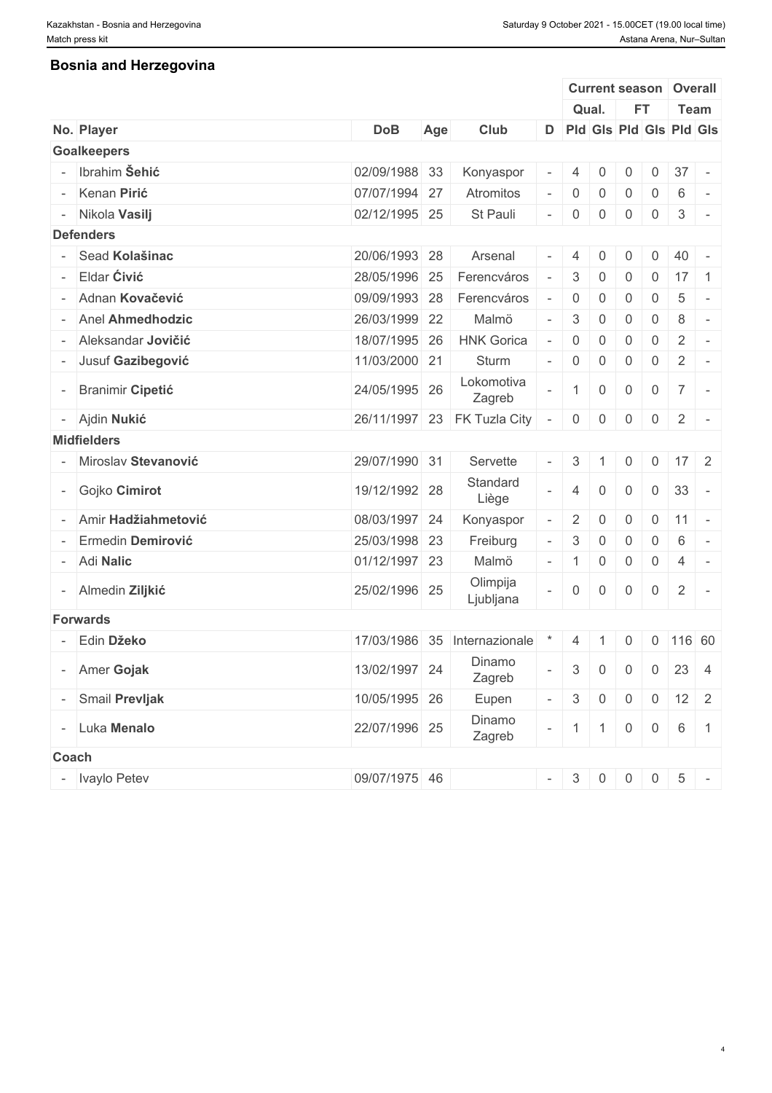### **Bosnia and Herzegovina**

|                          |                         |               |     |                              |                          |                  |                |                |                | <b>Current season Overall</b>         |  |
|--------------------------|-------------------------|---------------|-----|------------------------------|--------------------------|------------------|----------------|----------------|----------------|---------------------------------------|--|
|                          |                         |               |     |                              |                          | Qual.            |                | <b>FT</b>      |                | Team                                  |  |
|                          | No. Player              | <b>DoB</b>    | Age | Club                         |                          |                  |                |                |                | D Pld Gls Pld Gls Pld Gls             |  |
|                          | <b>Goalkeepers</b>      |               |     |                              |                          |                  |                |                |                |                                       |  |
|                          | - Ibrahim Šehić         | 02/09/1988 33 |     | Konyaspor                    |                          | $\overline{4}$   | $\mathbf{0}$   | 0              | $\overline{0}$ | 37<br>$\sim$                          |  |
|                          | - Kenan Pirić           | 07/07/1994 27 |     | Atromitos                    |                          | $\overline{0}$   | 0              | 0              | 0              | 6<br>$\sim$                           |  |
|                          | - Nikola Vasilj         | 02/12/1995 25 |     | St Pauli                     | $\overline{\phantom{a}}$ | $\overline{0}$   | 0              | $\overline{0}$ | $\overline{0}$ | $\mathbf{3}$<br>$\sim$                |  |
|                          | <b>Defenders</b>        |               |     |                              |                          |                  |                |                |                |                                       |  |
| $\overline{\phantom{a}}$ | Sead Kolašinac          | 20/06/1993 28 |     | Arsenal                      |                          | $\overline{4}$   | $\mathbf{0}$   | $\mathbf{0}$   | $\Omega$       | 40                                    |  |
|                          | Eldar Ćivić             | 28/05/1996 25 |     | Ferencváros                  |                          | 3                | 0              | $\overline{0}$ | $\overline{0}$ | $17 \quad 1$                          |  |
|                          | - Adnan Kovačević       | 09/09/1993 28 |     | Ferencváros                  |                          | $\mathbf 0$      | $\mathbf 0$    | 0              | $\mathbf 0$    | $\overline{5}$<br>$\sim$              |  |
|                          | - Anel Ahmedhodzic      | 26/03/1999 22 |     | Malmö                        |                          | 3                | $\mathbf 0$    | 0              | $\mathsf{O}$   | 8<br>$\sim$                           |  |
|                          | - Aleksandar Jovičić    | 18/07/1995 26 |     | <b>HNK Gorica</b>            |                          |                  |                |                |                | $\sim$                                |  |
|                          |                         |               |     |                              |                          | $\boldsymbol{0}$ | $\mathbf 0$    | $\overline{0}$ | $\mathbf 0$    | 2                                     |  |
|                          | - Jusuf Gazibegović     | 11/03/2000 21 |     | Sturm                        |                          | $\overline{0}$   | 0              | $\overline{0}$ | $\overline{0}$ | 2<br>$\sim$                           |  |
|                          | <b>Branimir Cipetić</b> | 24/05/1995 26 |     | Lokomotiva<br>Zagreb         |                          |                  | $\overline{0}$ | $\overline{0}$ | $\overline{0}$ | $\overline{7}$<br>$\sim$              |  |
|                          | - Ajdin Nukić           | 26/11/1997    |     | 23 FK Tuzla City             |                          | $\overline{0}$   | $\overline{0}$ | $\overline{0}$ | $\overline{0}$ | $\overline{2}$<br>$\vert \cdot \vert$ |  |
|                          | <b>Midfielders</b>      |               |     |                              |                          |                  |                |                |                |                                       |  |
|                          | - Miroslav Stevanović   | 29/07/1990 31 |     | Servette                     |                          | 3                |                | $\overline{0}$ | $\overline{0}$ | $17$ 2                                |  |
| $\overline{\phantom{a}}$ | Gojko Cimirot           | 19/12/1992 28 |     | Standard<br>Liège            |                          | $\overline{4}$   | $\overline{0}$ | $\overline{0}$ | $\overline{0}$ | 33<br>$\sim$                          |  |
|                          | - Amir Hadžiahmetović   | 08/03/1997 24 |     | Konyaspor                    |                          | $\overline{2}$   | $\overline{0}$ | 0              | $\overline{0}$ | 11<br>$\mathbf{I}$                    |  |
|                          | Ermedin Demirović       | 25/03/1998 23 |     | Freiburg                     |                          | 3                | $\mathbf 0$    | 0              | $\mathsf{O}$   | 6<br>$\sim$                           |  |
|                          | - Adi Nalic             | 01/12/1997 23 |     | Malmö                        | $\overline{\phantom{a}}$ |                  | 0              | $\overline{0}$ | $\overline{0}$ | 4<br>$\sim$                           |  |
|                          | - Almedin Ziljkić       | 25/02/1996 25 |     | Olimpija<br>Ljubljana        |                          | $\boldsymbol{0}$ | 0              | $\overline{0}$ | $\overline{0}$ | $\overline{2}$<br>$\sim$ $-$          |  |
|                          | <b>Forwards</b>         |               |     |                              |                          |                  |                |                |                |                                       |  |
|                          | Edin Džeko              |               |     | 17/03/1986 35 Internazionale |                          | $4 \mid 1$       |                | $\overline{0}$ |                | $0$ 116 60                            |  |
|                          | - Amer Gojak            | 13/02/1997 24 |     | Dinamo<br>Zagreb             |                          | $\mathbf{3}$     | $\overline{0}$ | $\overline{0}$ | $\overline{0}$ | $23 \mid 4$                           |  |
|                          | - Smail Prevljak        | 10/05/1995 26 |     | Eupen                        |                          | $\mathbf{3}$     | $\overline{0}$ | $\overline{0}$ |                | $0 \mid 12 \mid 2$                    |  |
|                          | - Luka Menalo           | 22/07/1996 25 |     | Dinamo                       |                          |                  | -1.            | $\overline{0}$ | 0              | $6\phantom{.}6$<br>$\overline{1}$     |  |
|                          |                         |               |     | Zagreb                       |                          |                  |                |                |                |                                       |  |
|                          | Coach                   |               |     |                              |                          |                  |                |                |                |                                       |  |
|                          | - Ivaylo Petev          | 09/07/1975 46 |     |                              |                          | $-3$             |                | $0 \quad 0$    | $0 \mid 5$     | $\vert$ =                             |  |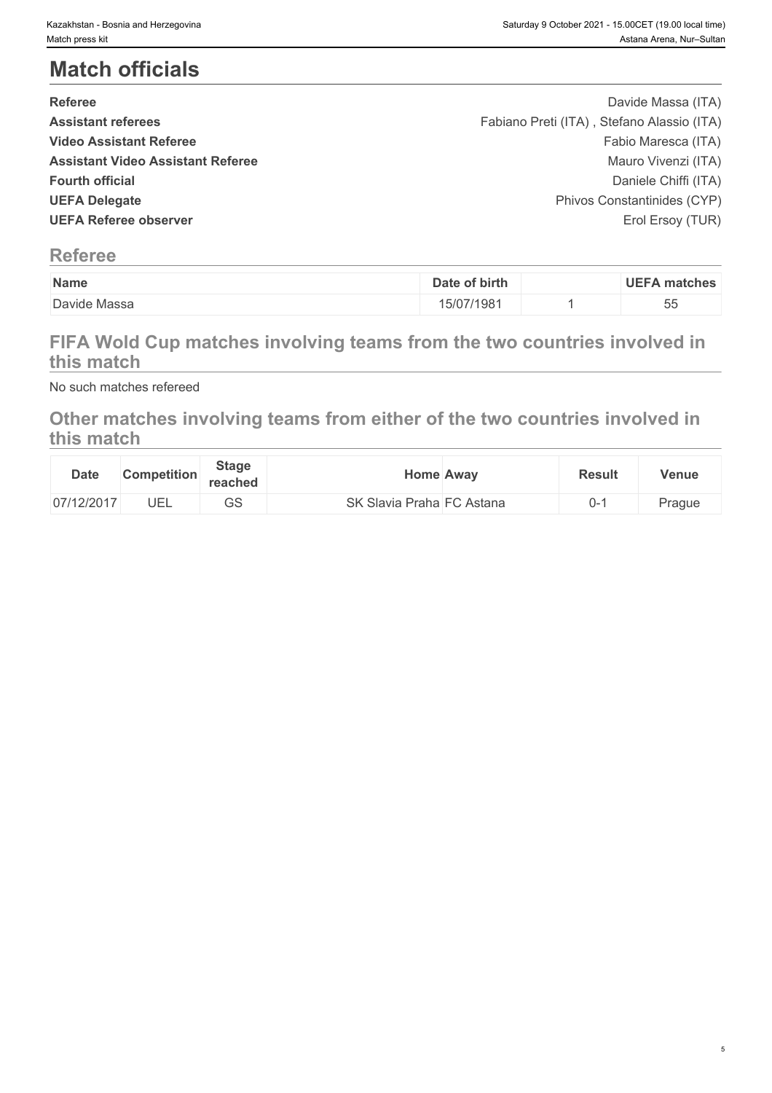# **Match officials**

| <b>Referee</b>                           | Davide Massa (ITA)                         |  |
|------------------------------------------|--------------------------------------------|--|
| <b>Assistant referees</b>                | Fabiano Preti (ITA), Stefano Alassio (ITA) |  |
| <b>Video Assistant Referee</b>           | Fabio Maresca (ITA)                        |  |
| <b>Assistant Video Assistant Referee</b> | Mauro Vivenzi (ITA)                        |  |
| <b>Fourth official</b>                   | Daniele Chiffi (ITA)                       |  |
| <b>UEFA Delegate</b>                     | Phivos Constantinides (CYP)                |  |
| <b>UEFA Referee observer</b>             | Erol Ersoy (TUR)                           |  |
|                                          |                                            |  |

# **Referee**

| Name         | Date of birth | <b>UEFA matches</b> |
|--------------|---------------|---------------------|
| Davide Massa | 15/07/1981    | --<br>nn<br>ഄഄ      |

# **FIFA Wold Cup matches involving teams from the two countries involved in this match**

No such matches refereed

# **Other matches involving teams from either of the two countries involved in this match**

| <b>Date</b> | <b>Competition</b> | <b>Stage</b><br>reached | <b>Home Away</b>          | <b>Result</b> | Venue  |
|-------------|--------------------|-------------------------|---------------------------|---------------|--------|
| 07/12/2017  | UEL                | $\cap$<br>ںں            | SK Slavia Praha FC Astana |               | Prague |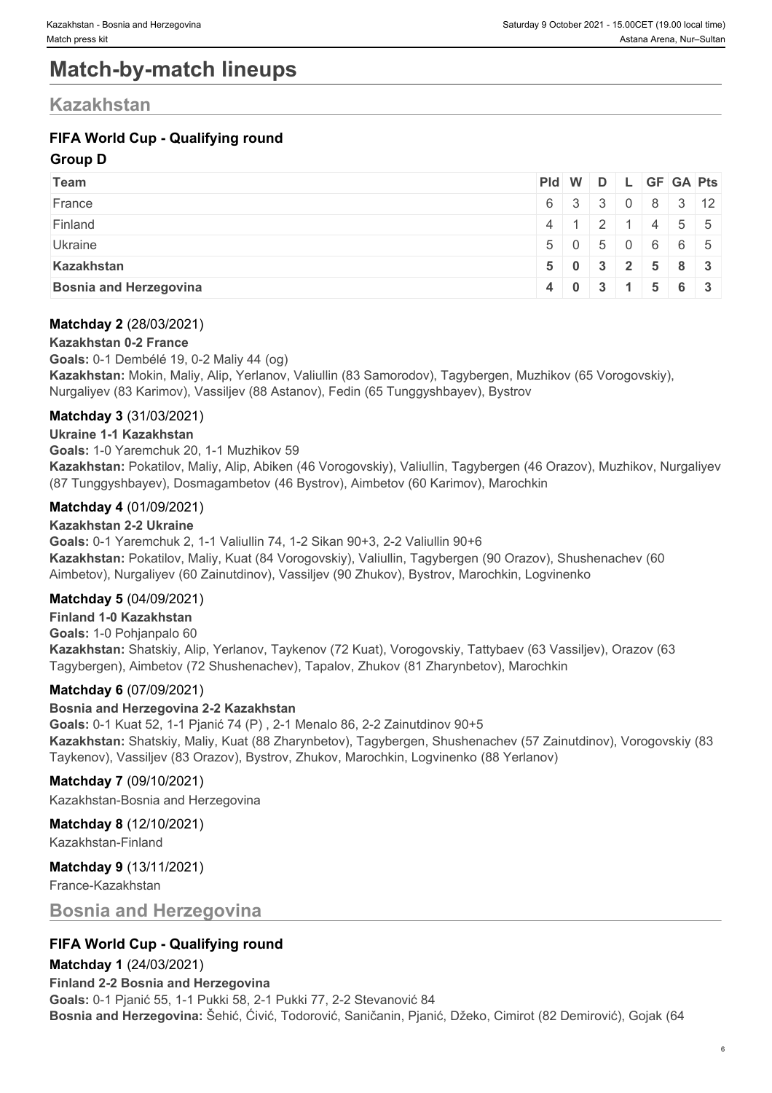# **Match-by-match lineups**

### **Kazakhstan**

### **FIFA World Cup - Qualifying round**

#### **Group D**

| <b>Team</b>                   |  |  | Pid W D L GF GA Pts                           |                                                     |
|-------------------------------|--|--|-----------------------------------------------|-----------------------------------------------------|
| France                        |  |  |                                               | $6 \mid 3 \mid 3 \mid 0 \mid 8 \mid 3 \mid 12 \mid$ |
| Finland                       |  |  |                                               | $4 \mid 1 \mid 2 \mid 1 \mid 4 \mid 5 \mid 5$       |
| Ukraine                       |  |  |                                               | $5 \mid 0 \mid 5 \mid 0 \mid 6 \mid 6 \mid 5$       |
| Kazakhstan                    |  |  |                                               | $5 \t0 \t3 \t2 \t5 \t8 \t3$                         |
| <b>Bosnia and Herzegovina</b> |  |  | $4 \mid 0 \mid 3 \mid 1 \mid 5 \mid 6 \mid 3$ |                                                     |

#### **Matchday 2** (28/03/2021)

#### **Kazakhstan 0-2 France**

**Goals:** 0-1 Dembélé 19, 0-2 Maliy 44 (og) **Kazakhstan:** Mokin, Maliy, Alip, Yerlanov, Valiullin (83 Samorodov), Tagybergen, Muzhikov (65 Vorogovskiy), Nurgaliyev (83 Karimov), Vassiljev (88 Astanov), Fedin (65 Tunggyshbayev), Bystrov

#### **Matchday 3** (31/03/2021)

**Ukraine 1-1 Kazakhstan**

**Goals:** 1-0 Yaremchuk 20, 1-1 Muzhikov 59

**Kazakhstan:** Pokatilov, Maliy, Alip, Abiken (46 Vorogovskiy), Valiullin, Tagybergen (46 Orazov), Muzhikov, Nurgaliyev (87 Tunggyshbayev), Dosmagambetov (46 Bystrov), Aimbetov (60 Karimov), Marochkin

#### **Matchday 4** (01/09/2021)

#### **Kazakhstan 2-2 Ukraine**

**Goals:** 0-1 Yaremchuk 2, 1-1 Valiullin 74, 1-2 Sikan 90+3, 2-2 Valiullin 90+6 **Kazakhstan:** Pokatilov, Maliy, Kuat (84 Vorogovskiy), Valiullin, Tagybergen (90 Orazov), Shushenachev (60 Aimbetov), Nurgaliyev (60 Zainutdinov), Vassiljev (90 Zhukov), Bystrov, Marochkin, Logvinenko

#### **Matchday 5** (04/09/2021)

**Finland 1-0 Kazakhstan Goals:** 1-0 Pohjanpalo 60 **Kazakhstan:** Shatskiy, Alip, Yerlanov, Taykenov (72 Kuat), Vorogovskiy, Tattybaev (63 Vassiljev), Orazov (63 Tagybergen), Aimbetov (72 Shushenachev), Tapalov, Zhukov (81 Zharynbetov), Marochkin

#### **Matchday 6** (07/09/2021)

#### **Bosnia and Herzegovina 2-2 Kazakhstan**

**Goals:** 0-1 Kuat 52, 1-1 Pjanić 74 (P) , 2-1 Menalo 86, 2-2 Zainutdinov 90+5 **Kazakhstan:** Shatskiy, Maliy, Kuat (88 Zharynbetov), Tagybergen, Shushenachev (57 Zainutdinov), Vorogovskiy (83 Taykenov), Vassiljev (83 Orazov), Bystrov, Zhukov, Marochkin, Logvinenko (88 Yerlanov)

**Matchday 7** (09/10/2021) Kazakhstan-Bosnia and Herzegovina

### **Matchday 8** (12/10/2021)

Kazakhstan-Finland

#### **Matchday 9** (13/11/2021)

France-Kazakhstan

#### **Bosnia and Herzegovina**

#### **FIFA World Cup - Qualifying round**

#### **Matchday 1** (24/03/2021)

**Finland 2-2 Bosnia and Herzegovina Goals:** 0-1 Pjanić 55, 1-1 Pukki 58, 2-1 Pukki 77, 2-2 Stevanović 84 **Bosnia and Herzegovina:** Šehić, Ćivić, Todorović, Saničanin, Pjanić, Džeko, Cimirot (82 Demirović), Gojak (64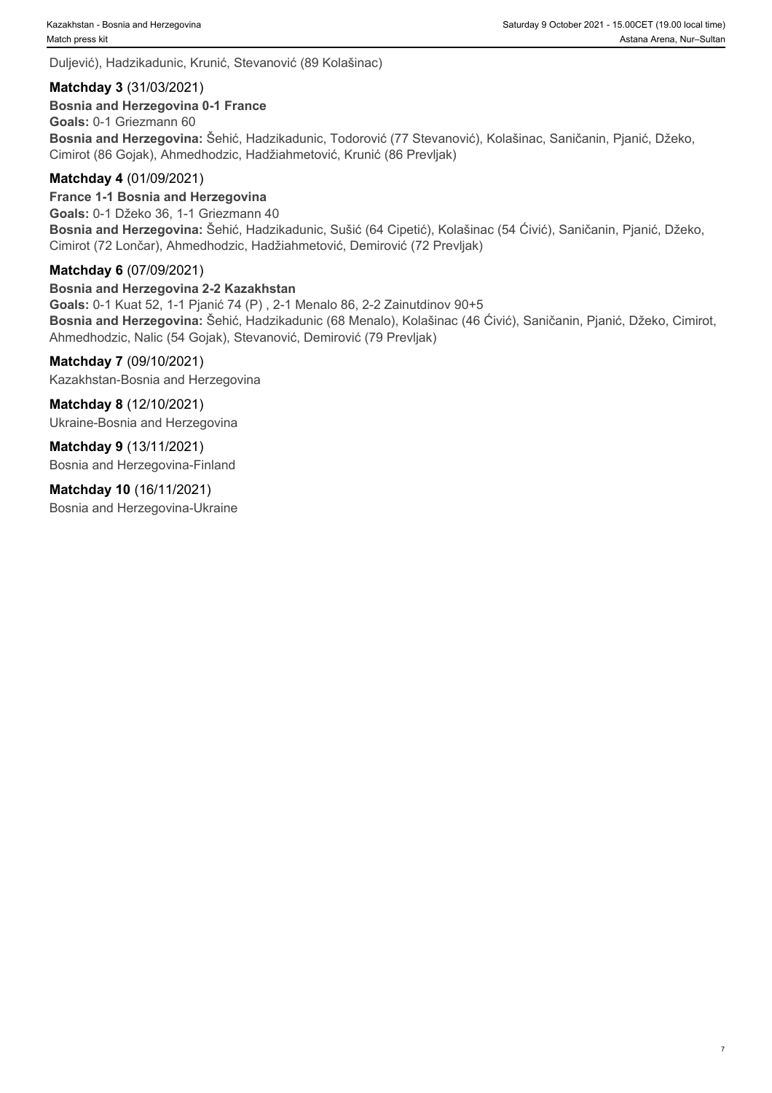Duljević), Hadzikadunic, Krunić, Stevanović (89 Kolašinac)

#### **Matchday 3** (31/03/2021)

**Bosnia and Herzegovina 0-1 France**

**Goals:** 0-1 Griezmann 60 **Bosnia and Herzegovina:** Šehić, Hadzikadunic, Todorović (77 Stevanović), Kolašinac, Saničanin, Pjanić, Džeko, Cimirot (86 Gojak), Ahmedhodzic, Hadžiahmetović, Krunić (86 Prevljak)

#### **Matchday 4** (01/09/2021)

**France 1-1 Bosnia and Herzegovina Goals:** 0-1 Džeko 36, 1-1 Griezmann 40 **Bosnia and Herzegovina:** Šehić, Hadzikadunic, Sušić (64 Cipetić), Kolašinac (54 Ćivić), Saničanin, Pjanić, Džeko, Cimirot (72 Lončar), Ahmedhodzic, Hadžiahmetović, Demirović (72 Prevljak)

#### **Matchday 6** (07/09/2021)

#### **Bosnia and Herzegovina 2-2 Kazakhstan**

**Goals:** 0-1 Kuat 52, 1-1 Pjanić 74 (P) , 2-1 Menalo 86, 2-2 Zainutdinov 90+5 **Bosnia and Herzegovina:** Šehić, Hadzikadunic (68 Menalo), Kolašinac (46 Ćivić), Saničanin, Pjanić, Džeko, Cimirot, Ahmedhodzic, Nalic (54 Gojak), Stevanović, Demirović (79 Prevljak)

#### **Matchday 7** (09/10/2021)

Kazakhstan-Bosnia and Herzegovina

**Matchday 8** (12/10/2021)

Ukraine-Bosnia and Herzegovina

**Matchday 9** (13/11/2021) Bosnia and Herzegovina-Finland

**Matchday 10** (16/11/2021)

Bosnia and Herzegovina-Ukraine